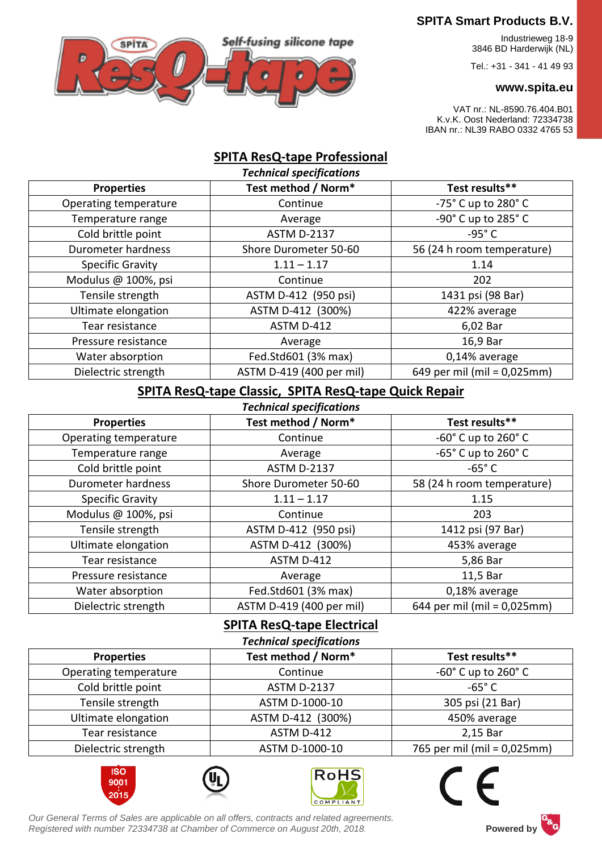

# **SPITA Smart Products B.V.**

 Industrieweg 18-9 3846 BD Harderwijk (NL)

Tel.: +31 - 341 - 41 49 93

#### **www.spita.eu**

VAT nr.: NL-8590.76.404.B01 K.v.K. Oost Nederland: 72334738 IBAN nr.: NL39 RABO 0332 4765 53

## **SPITA ResQ-tape Professional**

| <b>Technical specifications</b> |                          |                                    |
|---------------------------------|--------------------------|------------------------------------|
| <b>Properties</b>               | Test method / Norm*      | Test results**                     |
| Operating temperature           | Continue                 | $-75^\circ$ C up to 280 $^\circ$ C |
| Temperature range               | Average                  | -90° C up to 285° C                |
| Cold brittle point              | <b>ASTM D-2137</b>       | $-95^\circ$ C                      |
| Durometer hardness              | Shore Durometer 50-60    | 56 (24 h room temperature)         |
| <b>Specific Gravity</b>         | $1.11 - 1.17$            | 1.14                               |
| Modulus @ 100%, psi             | Continue                 | 202                                |
| Tensile strength                | ASTM D-412 (950 psi)     | 1431 psi (98 Bar)                  |
| Ultimate elongation             | ASTM D-412 (300%)        | 422% average                       |
| Tear resistance                 | ASTM D-412               | 6,02 Bar                           |
| Pressure resistance             | Average                  | 16,9 Bar                           |
| Water absorption                | Fed.Std601 (3% max)      | 0,14% average                      |
| Dielectric strength             | ASTM D-419 (400 per mil) | 649 per mil (mil = 0,025mm)        |

### **SPITA ResQ-tape Classic, SPITA ResQ-tape Quick Repair**

| <b>Technical specifications</b> |                          |                                    |  |
|---------------------------------|--------------------------|------------------------------------|--|
| <b>Properties</b>               | Test method / Norm*      | Test results**                     |  |
| Operating temperature           | Continue                 | -60° C up to 260° C                |  |
| Temperature range               | Average                  | $-65^\circ$ C up to 260 $^\circ$ C |  |
| Cold brittle point              | <b>ASTM D-2137</b>       | $-65^\circ$ C                      |  |
| Durometer hardness              | Shore Durometer 50-60    | 58 (24 h room temperature)         |  |
| <b>Specific Gravity</b>         | $1.11 - 1.17$            | 1.15                               |  |
| Modulus @ 100%, psi             | Continue                 | 203                                |  |
| Tensile strength                | ASTM D-412 (950 psi)     | 1412 psi (97 Bar)                  |  |
| Ultimate elongation             | ASTM D-412 (300%)        | 453% average                       |  |
| Tear resistance                 | ASTM D-412               | 5,86 Bar                           |  |
| Pressure resistance             | Average                  | 11,5 Bar                           |  |
| Water absorption                | Fed.Std601 (3% max)      | 0,18% average                      |  |
| Dielectric strength             | ASTM D-419 (400 per mil) | 644 per mil (mil = 0,025mm)        |  |

# **SPITA ResQ-tape Electrical**

| <b>Technical specifications</b> |                     |                                    |  |
|---------------------------------|---------------------|------------------------------------|--|
| <b>Properties</b>               | Test method / Norm* | Test results**                     |  |
| Operating temperature           | Continue            | $-60^\circ$ C up to 260 $^\circ$ C |  |
| Cold brittle point              | <b>ASTM D-2137</b>  | $-65^\circ$ C                      |  |
| Tensile strength                | ASTM D-1000-10      | 305 psi (21 Bar)                   |  |
| Ultimate elongation             | ASTM D-412 (300%)   | 450% average                       |  |
| Tear resistance                 | ASTM D-412          | 2,15 Bar                           |  |
| Dielectric strength             | ASTM D-1000-10      | 765 per mil (mil = 0,025mm)        |  |









*Our General Terms of Sales are applicable on all offers, contracts and related agreements. Registered with number 72334738 at Chamber of Commerce on August 20th, 2018.* **Powered by**